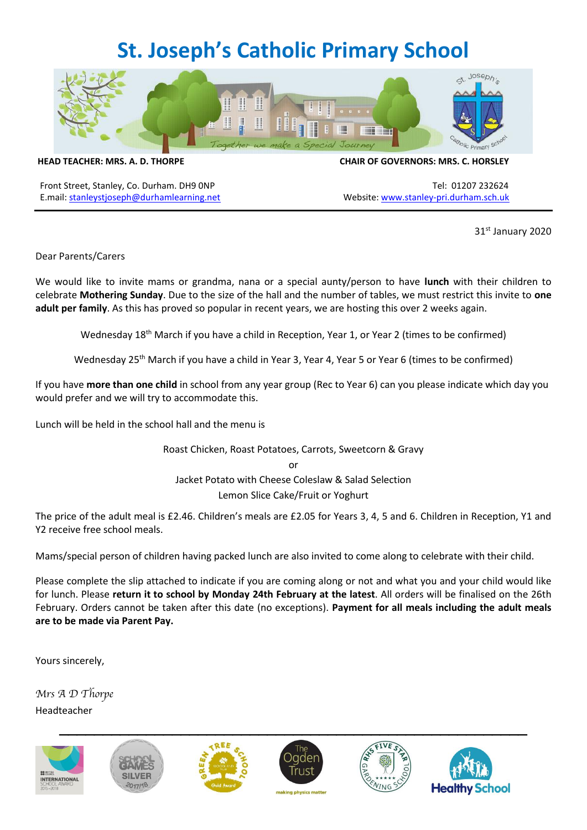## **St. Joseph's Catholic Primary School**



**HEAD TEACHER: MRS. A. D. THORPE CHAIR OF GOVERNORS: MRS. C. HORSLEY**

Front Street, Stanley, Co. Durham. DH9 ONP Tel: 01207 232624 E.mail: [stanleystjoseph@durhamlearning.net](mailto:stanleystjoseph@durhamlearning.net) Website[: www.stanley-pri.durham.sch.uk](http://www.stanley-pri.durham.sch.uk/)

31st January 2020

Dear Parents/Carers

We would like to invite mams or grandma, nana or a special aunty/person to have **lunch** with their children to celebrate **Mothering Sunday**. Due to the size of the hall and the number of tables, we must restrict this invite to **one adult per family**. As this has proved so popular in recent years, we are hosting this over 2 weeks again.

Wednesday 18<sup>th</sup> March if you have a child in Reception, Year 1, or Year 2 (times to be confirmed)

Wednesday 25<sup>th</sup> March if you have a child in Year 3, Year 4, Year 5 or Year 6 (times to be confirmed)

If you have **more than one child** in school from any year group (Rec to Year 6) can you please indicate which day you would prefer and we will try to accommodate this.

Lunch will be held in the school hall and the menu is

Roast Chicken, Roast Potatoes, Carrots, Sweetcorn & Gravy or Jacket Potato with Cheese Coleslaw & Salad Selection Lemon Slice Cake/Fruit or Yoghurt

The price of the adult meal is £2.46. Children's meals are £2.05 for Years 3, 4, 5 and 6. Children in Reception, Y1 and Y2 receive free school meals.

Mams/special person of children having packed lunch are also invited to come along to celebrate with their child.

Please complete the slip attached to indicate if you are coming along or not and what you and your child would like for lunch. Please **return it to school by Monday 24th February at the latest**. All orders will be finalised on the 26th February. Orders cannot be taken after this date (no exceptions). **Payment for all meals including the adult meals are to be made via Parent Pay.**

Yours sincerely,

Mrs A D Thorpe Headteacher